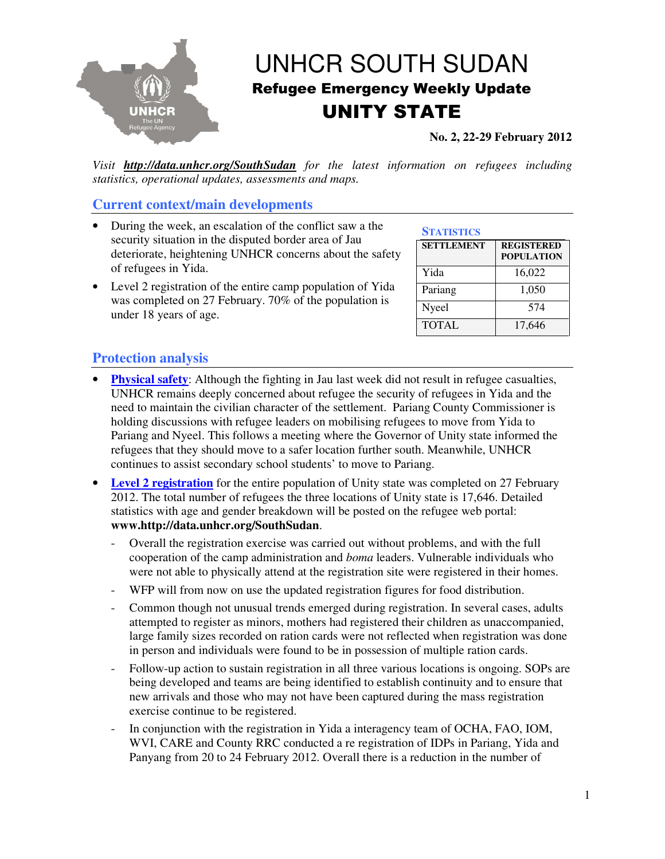

## UNHCR SOUTH SUDAN Refugee Emergency Weekly Update UNITY STATE

**No. 2, 22-29 February 2012** 

*Visit http://data.unhcr.org/SouthSudan for the latest information on refugees including statistics, operational updates, assessments and maps.* 

## **Current context/main developments**

- During the week, an escalation of the conflict saw a the security situation in the disputed border area of Jau deteriorate, heightening UNHCR concerns about the safety of refugees in Yida.
- Level 2 registration of the entire camp population of Yida was completed on 27 February. 70% of the population is under 18 years of age.

|  | <b>STATISTICS</b> |
|--|-------------------|
|  |                   |

| <b>SETTLEMENT</b> | <b>REGISTERED</b><br><b>POPULATION</b> |
|-------------------|----------------------------------------|
| Yida              | 16,022                                 |
| Pariang           | 1,050                                  |
| Nyeel             | 574                                    |
| <b>TOTAL</b>      | 17,646                                 |

## **Protection analysis**

- **Physical safety**: Although the fighting in Jau last week did not result in refugee casualties, UNHCR remains deeply concerned about refugee the security of refugees in Yida and the need to maintain the civilian character of the settlement. Pariang County Commissioner is holding discussions with refugee leaders on mobilising refugees to move from Yida to Pariang and Nyeel. This follows a meeting where the Governor of Unity state informed the refugees that they should move to a safer location further south. Meanwhile, UNHCR continues to assist secondary school students' to move to Pariang.
- Level 2 registration for the entire population of Unity state was completed on 27 February 2012. The total number of refugees the three locations of Unity state is 17,646. Detailed statistics with age and gender breakdown will be posted on the refugee web portal: **www.http://data.unhcr.org/SouthSudan**.
	- Overall the registration exercise was carried out without problems, and with the full cooperation of the camp administration and *boma* leaders. Vulnerable individuals who were not able to physically attend at the registration site were registered in their homes.
	- WFP will from now on use the updated registration figures for food distribution.
	- Common though not unusual trends emerged during registration. In several cases, adults attempted to register as minors, mothers had registered their children as unaccompanied, large family sizes recorded on ration cards were not reflected when registration was done in person and individuals were found to be in possession of multiple ration cards.
	- Follow-up action to sustain registration in all three various locations is ongoing. SOPs are being developed and teams are being identified to establish continuity and to ensure that new arrivals and those who may not have been captured during the mass registration exercise continue to be registered.
	- In conjunction with the registration in Yida a interagency team of OCHA, FAO, IOM, WVI, CARE and County RRC conducted a re registration of IDPs in Pariang, Yida and Panyang from 20 to 24 February 2012. Overall there is a reduction in the number of